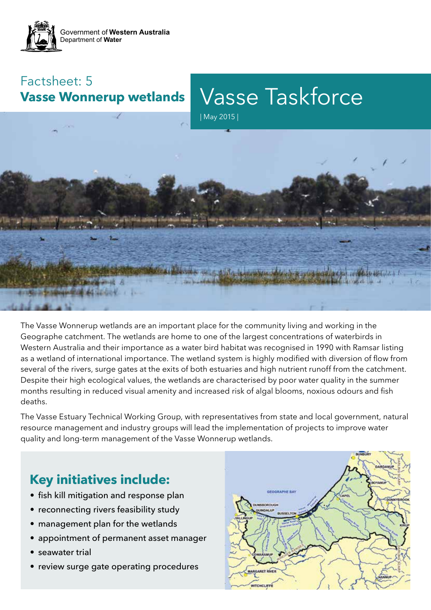

### Factsheet: 5 **Vasse Wonnerup wetlands**

# Vasse Taskforce





The Vasse Wonnerup wetlands are an important place for the community living and working in the Geographe catchment. The wetlands are home to one of the largest concentrations of waterbirds in Western Australia and their importance as a water bird habitat was recognised in 1990 with Ramsar listing as a wetland of international importance. The wetland system is highly modified with diversion of flow from several of the rivers, surge gates at the exits of both estuaries and high nutrient runoff from the catchment. Despite their high ecological values, the wetlands are characterised by poor water quality in the summer months resulting in reduced visual amenity and increased risk of algal blooms, noxious odours and fish deaths.

The Vasse Estuary Technical Working Group, with representatives from state and local government, natural resource management and industry groups will lead the implementation of projects to improve water quality and long-term management of the Vasse Wonnerup wetlands.

## **Key initiatives include:**

- fish kill mitigation and response plan
- reconnecting rivers feasibility study
- management plan for the wetlands
- appointment of permanent asset manager
- seawater trial
- review surge gate operating procedures